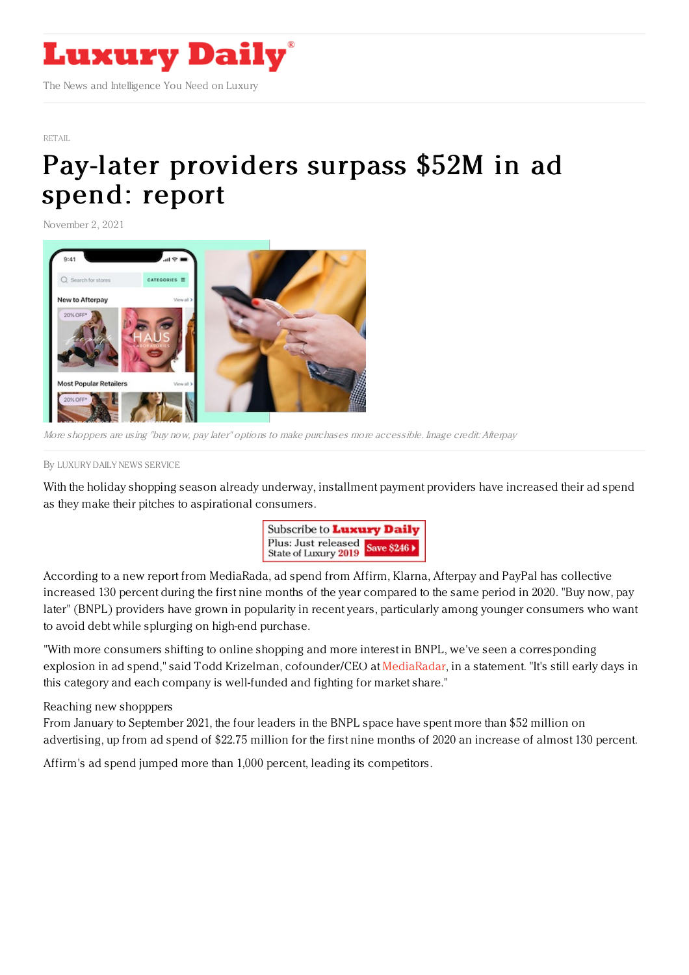

[RETAIL](https://www.luxurydaily.com/category/sectors/retail-industry-sectors/)

## Pay-later [providers](https://www.luxurydaily.com/?p=339646) surpass \$52M in ad spend: report

November 2, 2021



More shoppers are using "buy now, pay later" options to make purchases more accessible. Image credit: Afterpay

## By LUXURY DAILY NEWS [SERVICE](file:///author/luxury-daily-news-service)

With the holiday shopping season already underway, installment payment providers have increased their ad spend as they make their pitches to aspirational consumers.



According to a new report from MediaRada, ad spend from Affirm, Klarna, Afterpay and PayPal has collective increased 130 percent during the first nine months of the year compared to the same period in 2020. "Buy now, pay later" (BNPL) providers have grown in popularity in recent years, particularly among younger consumers who want to avoid debt while splurging on high-end purchase.

"With more consumers shifting to online shopping and more interest in BNPL, we've seen a corresponding explosion in ad spend," said Todd Krizelman, cofounder/CEO at [MediaRadar](https://mediaradar.com/), in a statement. "It's still early days in this category and each company is well-funded and fighting for market share."

## Reaching new shopppers

From January to September 2021, the four leaders in the BNPL space have spent more than \$52 million on advertising, up from ad spend of \$22.75 million for the first nine months of 2020 an increase of almost 130 percent.

Affirm's ad spend jumped more than 1,000 percent, leading its competitors.